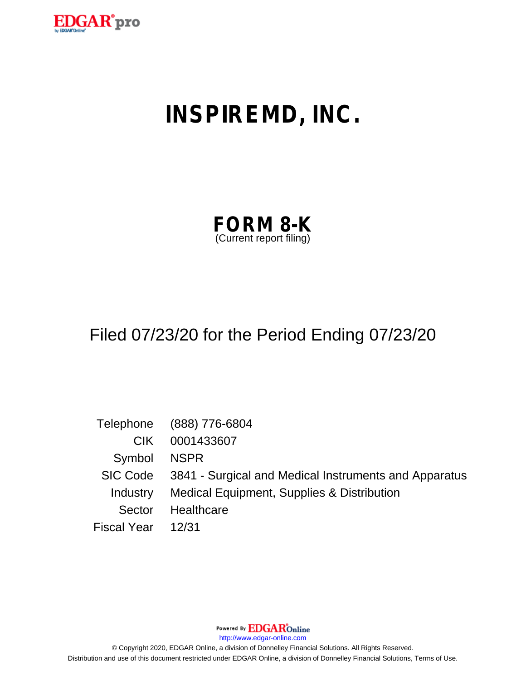

# **INSPIREMD, INC.**

| <b>FORM 8-K</b>         |  |
|-------------------------|--|
| (Current report filing) |  |

# Filed 07/23/20 for the Period Ending 07/23/20

|                    | Telephone (888) 776-6804                                       |
|--------------------|----------------------------------------------------------------|
| CIK.               | 0001433607                                                     |
| Symbol NSPR        |                                                                |
|                    | SIC Code 3841 - Surgical and Medical Instruments and Apparatus |
|                    | Industry Medical Equipment, Supplies & Distribution            |
| Sector             | Healthcare                                                     |
| Fiscal Year  12/31 |                                                                |

Powered By **EDGAR**Online

http://www.edgar-online.com

© Copyright 2020, EDGAR Online, a division of Donnelley Financial Solutions. All Rights Reserved. Distribution and use of this document restricted under EDGAR Online, a division of Donnelley Financial Solutions, Terms of Use.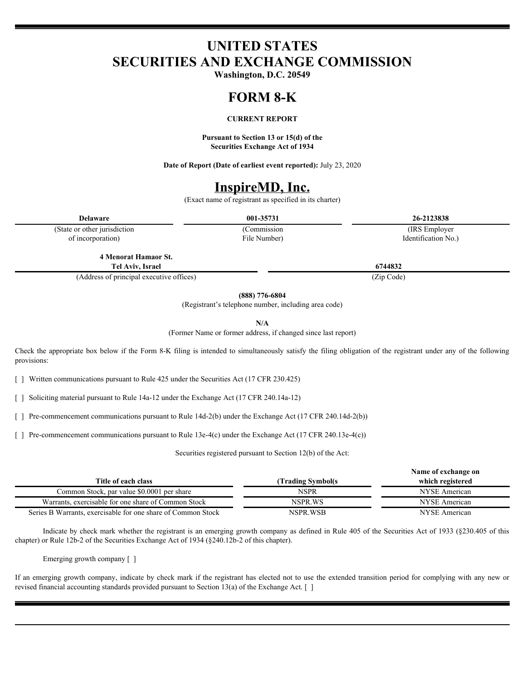## **UNITED STATES SECURITIES AND EXCHANGE COMMISSION**

**Washington, D.C. 20549**

#### **FORM 8-K**

#### **CURRENT REPORT**

**Pursuant to Section 13 or 15(d) of the Securities Exchange Act of 1934**

**Date of Report (Date of earliest event reported):** July 23, 2020

### **InspireMD, Inc.**

(Exact name of registrant as specified in its charter)

(State or other jurisdiction of incorporation)

File Number)

**Delaware 001-35731 26-2123838** (Commission (IRS Employer Identification No.)

**4 Menorat Hamaor St. Tel Aviv, Israel 6744832**

(Address of principal executive offices) (Zip Code)

**(888) 776-6804**

(Registrant's telephone number, including area code)

**N/A**

(Former Name or former address, if changed since last report)

Check the appropriate box below if the Form 8-K filing is intended to simultaneously satisfy the filing obligation of the registrant under any of the following provisions:

[ ] Written communications pursuant to Rule 425 under the Securities Act (17 CFR 230.425)

[ ] Soliciting material pursuant to Rule 14a-12 under the Exchange Act (17 CFR 240.14a-12)

[ ] Pre-commencement communications pursuant to Rule 14d-2(b) under the Exchange Act (17 CFR 240.14d-2(b))

[ ] Pre-commencement communications pursuant to Rule 13e-4(c) under the Exchange Act (17 CFR 240.13e-4(c))

Securities registered pursuant to Section 12(b) of the Act:

|                                                              |                    | Name of exchange on |
|--------------------------------------------------------------|--------------------|---------------------|
| Title of each class                                          | (Trading Symbol(s) | which registered    |
| Common Stock, par value \$0.0001 per share                   | NSPR               | NYSE American       |
| Warrants, exercisable for one share of Common Stock          | NSPR.WS            | NYSE American       |
| Series B Warrants, exercisable for one share of Common Stock | NSPR.WSB           | NYSE American       |
|                                                              |                    |                     |

Indicate by check mark whether the registrant is an emerging growth company as defined in Rule 405 of the Securities Act of 1933 (§230.405 of this chapter) or Rule 12b-2 of the Securities Exchange Act of 1934 (§240.12b-2 of this chapter).

Emerging growth company [ ]

If an emerging growth company, indicate by check mark if the registrant has elected not to use the extended transition period for complying with any new or revised financial accounting standards provided pursuant to Section 13(a) of the Exchange Act. [ ]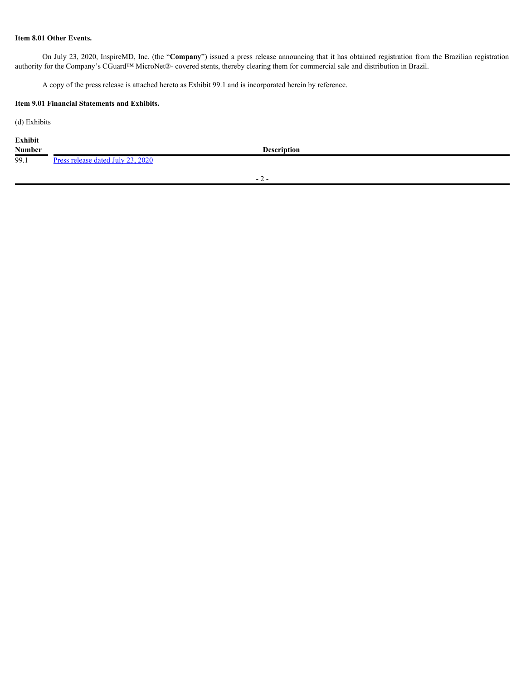#### **Item 8.01 Other Events.**

On July 23, 2020, InspireMD, Inc. (the "**Company**") issued a press release announcing that it has obtained registration from the Brazilian registration authority for the Company's CGuard™ MicroNet®- covered stents, thereby clearing them for commercial sale and distribution in Brazil.

A copy of the press release is attached hereto as Exhibit 99.1 and is incorporated herein by reference.

#### **Item 9.01 Financial Statements and Exhibits.**

(d) Exhibits

| <b>Exhibit</b> |  |  |  |
|----------------|--|--|--|
|                |  |  |  |

**Number Description** 99.1 [Press release dated July 23, 2020](#page-4-0)

- 2 -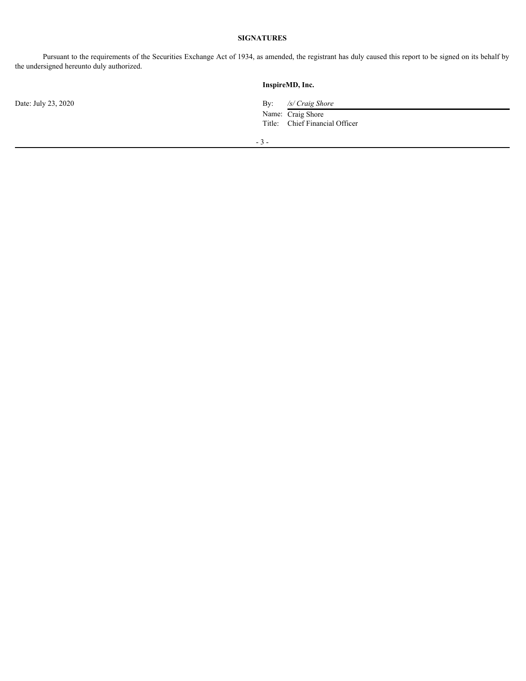### **SIGNATURES**

Pursuant to the requirements of the Securities Exchange Act of 1934, as amended, the registrant has duly caused this report to be signed on its behalf by the undersigned hereunto duly authorized.

|                     | InspireMD, Inc.                              |
|---------------------|----------------------------------------------|
| Date: July 23, 2020 | $\mathbf{B} \mathbf{v}$ :<br>/s/ Craig Shore |
|                     | Name: Craig Shore                            |
|                     | Title: Chief Financial Officer               |
|                     | $-3-$                                        |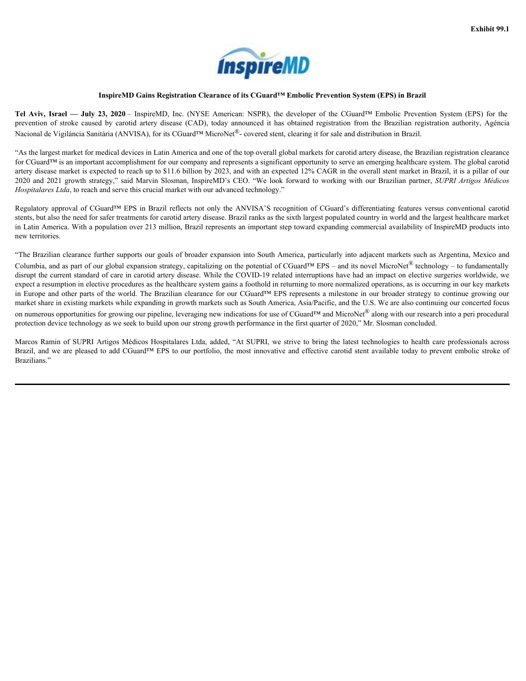

#### **InspireMD Gains Registration Clearance of its CGuard™ Embolic Prevention System (EPS) in Brazil**

Nacional de Vigiláncia Sanitária (ANVISA), for its CGuard™ MicroNet<sup>®</sup>- covered stent, clearing it for sale and distribution in Brazil.

**TECHAPE THE AVIV, Israel — July 23, 2020 – InspireMD Gains Registration Clearance of its CGuard<sup>TM</sup> Embolic Prevention System (E<br>
Tel Aviv, Israel — July 23, 2020 – InspireMD, Inc. (NYSE American: NSPR), the developer of EXECUTE:**<br> **Aviv, Israel — July 23, 2020** – InspireMD, Inc. (NYSE American: NSPR), the developer of the CGuard<sup>TM</sup> Embolic<br>
Aviv, Israel — July 23, 2020 – InspireMD, Inc. (NYSE American: NSPR), the developer of the CGuard **ISPIFEMD**<br> **InspireMD Gains Registration Clearance of its CGuard<sup>TM</sup> Embolic Prevention System (EPS) in Brazil<br>
<b>Israel — July 23, 2020** – InspireMD, Inc. (NYSE American: NSPR), the developer of the CGuard<sup>TM</sup> Embolic Pre **EXECUTE:**<br> **EXECUTE:**<br> **EXECUTE:**<br> **EXECUTE:**<br> **EXECUTE:**<br> **EXECUTE:**<br> **EXECUTE:**<br> **EXECUTE:**<br> **EXECUTE:**<br> **EXECUTE:**<br> **EXECUTE:**<br> **EXECUTE:**<br> **EXECUTE:**<br> **EXECUTE:**<br> **EXECUTE:**<br> **EXECUTE:**<br> **EXECUTE:**<br> **EXECUTE:**<br> **EXECU InspireMD Gains Registration Clearance of its CGuard<sup>TM</sup> Embolic Prevention System (EPS) in Brazil<br>July 23, 2020 – InspireMD, Inc. (NYSE American: NSPR), the developer of the CGuard<sup>TM</sup> Embolic Prevention System<br>caused by EXECUTE:**<br> **23, 2020** – InspireMD, Inc. (NYSE American: NSPR), the developer of the CGuard<sup>TM</sup> Embolic Prevention System (EPS) in Brazil<br>
23, 2020 – InspireMD, Inc. (NYSE American: NSPR), the developer of the CGuard<sup>TM</sup> E **2020**<br> **2020** – InspireMD, Inc. (NYSE American: NSPR), the developer of the CGuard™ Embolic Prevention System (EPS) in Brazil<br>
2020 – InspireMD, Inc. (NYSE American: NSPR), the developer of the CGuard™ Embolic Prevention **Exhibit 99.1**<br> **Exhibit 99.1**<br> **Exhibit 99.1**<br> **Exhibit 99.1**<br> **Exhibit 99.1**<br> **Exhibit 99.1**<br> **Exhibit 99.1**<br> **Exhibit 99.1**<br> **Exhibit 99.1**<br> **Exhibit 99.1**<br> **Exhibit 99.1**<br> **Exhibit 99.1**<br> **Exhibit 99.1**<br> **Exhibit 99.1** "As the largest market for medical devices in Latin America and one of the top overall global markets for carotid artery disease, the Brazilian registration clearance for CGuard™ is an important accomplishment for our company and represents a significant opportunity to serve an emerging healthcare system. The global carotid artery disease market is expected to reach up to \$11.6 billion by 2023, and with an expected 12% CAGR in the overall stent market in Brazil, it is a pillar of our Exhibit 99.1<br> **Exhibit 99.1**<br> **Exhibit 99.1**<br> **Exhibit 99.1**<br> **Exhibit 99.1**<br> **Exhibit 2021**<br> **Exhibit 2021**<br> **Exhibit 2021**<br> **Exhibit 2021**<br> **Exhibit 2021**<br> **Exhibit 2021**<br> **Exhibit 2021**<br> **Exhibit 2021**<br> **Exhibit 2021**<br> *Hospitalares Ltda*, to reach and serve this crucial market with our advanced technology." Example 11 Conserved Control Cains Registration Clearance of tis CGuard<sup>\*s E</sup>nveloble Prevention System (EPS) in Brazil represents of FRS) for the Counter of the Counter of System (EPS) for the Counter of System (FRS) for

stents, but also the need for safer treatments for carotid artery disease. Brazil ranks as the sixth largest populated country in world and the largest healthcare market in Latin America. With a population over 213 million, Brazil represents an important step toward expanding commercial availability of InspireMD products into new territories.

<span id="page-4-0"></span>"The Brazilian clearance further supports our goals of broader expansion into South America, particularly into adjacent markets such as Argentina, Mexico and Columbia, and as part of our global expansion strategy, capitalizing on the potential of CGuard<sup>™</sup> EPS – and its novel MicroNet<sup>®</sup> technology – to fundamentally disrupt the current standard of care in carotid artery disease. While the COVID-19 related interruptions have had an impact on elective surgeries worldwide, we expect a resumption in elective procedures as the healthcare system gains a foothold in returning to more normalized operations, as is occurring in our key markets in Europe and other parts of the world. The Brazilian clearance for our CGuard™ EPS represents a milestone in our broader strategy to continue growing our market share in existing markets while expanding in growth markets such as South America, Asia/Pacific, and the U.S. We are also continuing our concerted focus on numerous opportunities for growing our pipeline, leveraging new indications for use of CGuard™ and MicroNet<sup>®</sup> along with our research into a peri procedural protection device technology as we seek to build upon our strong growth performance in the first quarter of 2020," Mr. Slosman concluded. **Marcos 10.1.1. Example 10.1.1. Example 10.1.1. Example 10.1.1. Example 10.1.1. Example 10.1.1. Example 10.1.1. Example 10.1.1. Example 10.1.1. Example 10.1.1. Example 10.1.1. Example 10.1.1. Examp** 

Brazil, and we are pleased to add CGuard™ EPS to our portfolio, the most innovative and effective carotid stent available today to prevent embolic stroke of Brazilians."